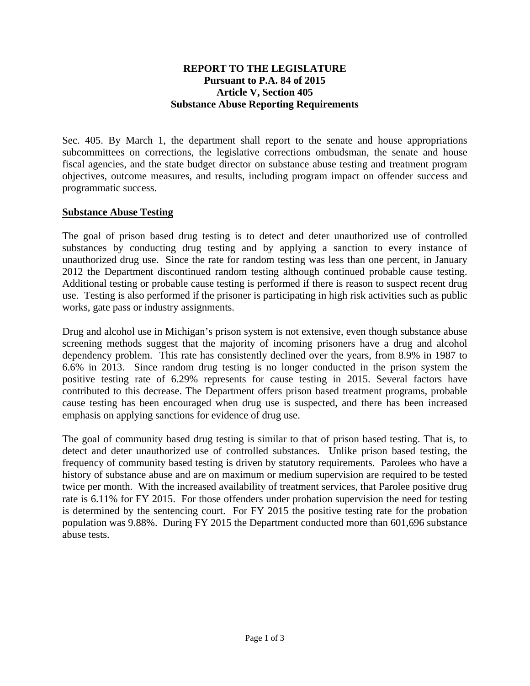#### **REPORT TO THE LEGISLATURE Pursuant to P.A. 84 of 2015 Article V, Section 405 Substance Abuse Reporting Requirements**

Sec. 405. By March 1, the department shall report to the senate and house appropriations subcommittees on corrections, the legislative corrections ombudsman, the senate and house fiscal agencies, and the state budget director on substance abuse testing and treatment program objectives, outcome measures, and results, including program impact on offender success and programmatic success.

## **Substance Abuse Testing**

The goal of prison based drug testing is to detect and deter unauthorized use of controlled substances by conducting drug testing and by applying a sanction to every instance of unauthorized drug use. Since the rate for random testing was less than one percent, in January 2012 the Department discontinued random testing although continued probable cause testing. Additional testing or probable cause testing is performed if there is reason to suspect recent drug use. Testing is also performed if the prisoner is participating in high risk activities such as public works, gate pass or industry assignments.

Drug and alcohol use in Michigan's prison system is not extensive, even though substance abuse screening methods suggest that the majority of incoming prisoners have a drug and alcohol dependency problem. This rate has consistently declined over the years, from 8.9% in 1987 to 6.6% in 2013. Since random drug testing is no longer conducted in the prison system the positive testing rate of 6.29% represents for cause testing in 2015. Several factors have contributed to this decrease. The Department offers prison based treatment programs, probable cause testing has been encouraged when drug use is suspected, and there has been increased emphasis on applying sanctions for evidence of drug use.

The goal of community based drug testing is similar to that of prison based testing. That is, to detect and deter unauthorized use of controlled substances. Unlike prison based testing, the frequency of community based testing is driven by statutory requirements. Parolees who have a history of substance abuse and are on maximum or medium supervision are required to be tested twice per month. With the increased availability of treatment services, that Parolee positive drug rate is 6.11% for FY 2015. For those offenders under probation supervision the need for testing is determined by the sentencing court. For FY 2015 the positive testing rate for the probation population was 9.88%. During FY 2015 the Department conducted more than 601,696 substance abuse tests.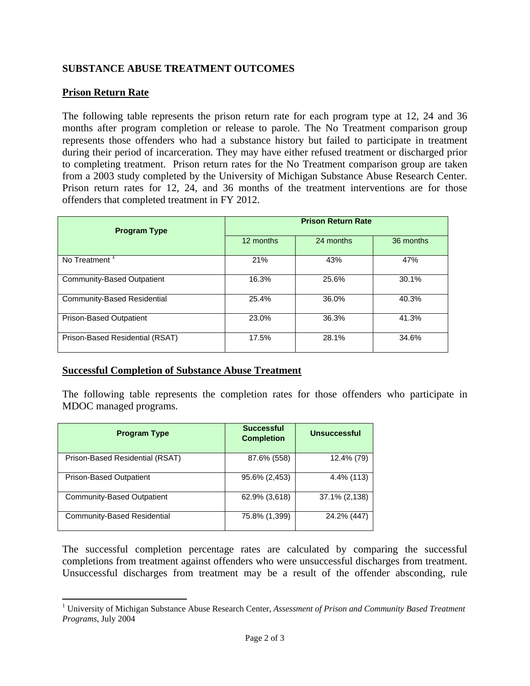# **SUBSTANCE ABUSE TREATMENT OUTCOMES**

## **Prison Return Rate**

The following table represents the prison return rate for each program type at 12, 24 and 36 months after program completion or release to parole. The No Treatment comparison group represents those offenders who had a substance history but failed to participate in treatment during their period of incarceration. They may have either refused treatment or discharged prior to completing treatment. Prison return rates for the No Treatment comparison group are taken from a 2003 study completed by the University of Michigan Substance Abuse Research Center. Prison return rates for 12, 24, and 36 months of the treatment interventions are for those offenders that completed treatment in FY 2012.

| <b>Program Type</b>                | <b>Prison Return Rate</b> |           |           |
|------------------------------------|---------------------------|-----------|-----------|
|                                    | 12 months                 | 24 months | 36 months |
| No Treatment                       | 21%                       | 43%       | 47%       |
| Community-Based Outpatient         | 16.3%                     | 25.6%     | 30.1%     |
| <b>Community-Based Residential</b> | 25.4%                     | 36.0%     | 40.3%     |
| Prison-Based Outpatient            | 23.0%                     | 36.3%     | 41.3%     |
| Prison-Based Residential (RSAT)    | 17.5%                     | 28.1%     | 34.6%     |

## **Successful Completion of Substance Abuse Treatment**

The following table represents the completion rates for those offenders who participate in MDOC managed programs.

| <b>Program Type</b>             | <b>Successful</b><br><b>Completion</b> | <b>Unsuccessful</b> |
|---------------------------------|----------------------------------------|---------------------|
| Prison-Based Residential (RSAT) | 87.6% (558)                            | 12.4% (79)          |
| <b>Prison-Based Outpatient</b>  | 95.6% (2,453)                          | 4.4% (113)          |
| Community-Based Outpatient      | 62.9% (3,618)                          | 37.1% (2,138)       |
| Community-Based Residential     | 75.8% (1,399)                          | 24.2% (447)         |

The successful completion percentage rates are calculated by comparing the successful completions from treatment against offenders who were unsuccessful discharges from treatment. Unsuccessful discharges from treatment may be a result of the offender absconding, rule

 1 University of Michigan Substance Abuse Research Center, *Assessment of Prison and Community Based Treatment Programs*, July 2004